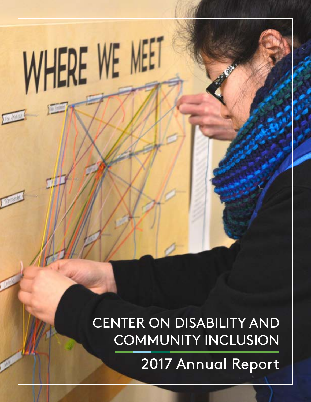CENTER ON DISABILITY AND COMMUNITY INCLUSION

WHERE WE MEET

2017 Annual Report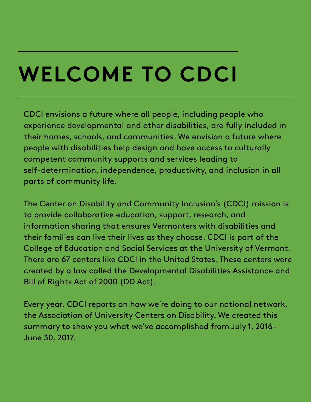## **WELCOME TO CDCI**

CDCI envisions a future where all people, including people who experience developmental and other disabilities, are fully included in their homes, schools, and communities. We envision a future where people with disabilities help design and have access to culturally competent community supports and services leading to self-determination, independence, productivity, and inclusion in all parts of community life.

The Center on Disability and Community Inclusion's (CDCI) mission is to provide collaborative education, support, research, and information sharing that ensures Vermonters with disabilities and their families can live their lives as they choose. CDCI is part of the College of Education and Social Services at the University of Vermont. There are 67 centers like CDCI in the United States. These centers were created by a law called the Developmental Disabilities Assistance and Bill of Rights Act of 2000 (DD Act).

Every year, CDCI reports on how we're doing to our national network, the Association of University Centers on Disability. We created this summary to show you what we've accomplished from July 1, 2016- June 30, 2017.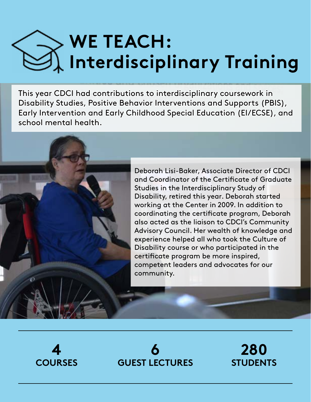## **WE TEACH: Interdisciplinary Training**

This year CDCI had contributions to interdisciplinary coursework in Disability Studies, Positive Behavior Interventions and Supports (PBIS), Early Intervention and Early Childhood Special Education (EI/ECSE), and school mental health.

> Deborah Lisi-Baker, Associate Director of CDCI and Coordinator of the Certificate of Graduate Studies in the Interdisciplinary Study of Disability, retired this year. Deborah started working at the Center in 2009. In addition to coordinating the certificate program, Deborah also acted as the liaison to CDCI's Community Advisory Council. Her wealth of knowledge and experience helped all who took the Culture of Disability course or who participated in the certificate program be more inspired, competent leaders and advocates for our community.





**280 STUDENTS**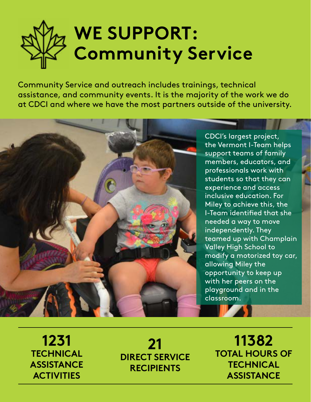

Community Service and outreach includes trainings, technical assistance, and community events. It is the majority of the work we do at CDCI and where we have the most partners outside of the university.



CDCI's largest project, the Vermont I-Team helps support teams of family members, educators, and professionals work with students so that they can experience and access inclusive education. For Miley to achieve this, the I-Team identified that she needed a way to move independently. They teamed up with Champlain Valley High School to modify a motorized toy car, allowing Miley the opportunity to keep up with her peers on the playground and in the classroom.

**1231 TECHNICAL ASSISTANCE ACTIVITIES**

**21 DIRECT SERVICE RECIPIENTS**

**11382 TOTAL HOURS OF TECHNICAL ASSISTANCE**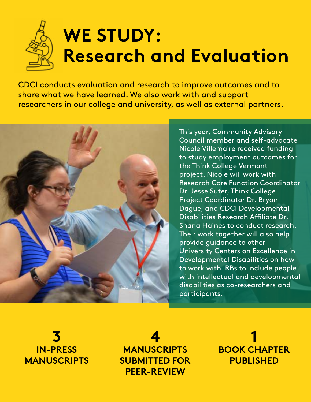## **WE STUDY: Research and Evaluation**

CDCI conducts evaluation and research to improve outcomes and to share what we have learned. We also work with and support researchers in our college and university, as well as external partners.



This year, Community Advisory Council member and self-advocate Nicole Villemaire received funding to study employment outcomes for the Think College Vermont project. Nicole will work with Research Core Function Coordinator Dr. Jesse Suter, Think College Project Coordinator Dr. Bryan Dague, and CDCI Developmental Disabilities Research Affiliate Dr. Shana Haines to conduct research. Their work together will also help provide guidance to other University Centers on Excellence in Developmental Disabilities on how to work with IRBs to include people with intellectual and developmental disabilities as co-researchers and participants.

**3 IN-PRESS MANUSCRIPTS**

**4 MANUSCRIPTS SUBMITTED FOR PEER-REVIEW**

**1 BOOK CHAPTER PUBLISHED**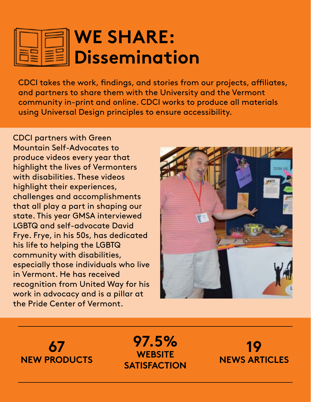### **WE SHARE: Dissemination**

CDCI takes the work, findings, and stories from our projects, affiliates, and partners to share them with the University and the Vermont community in-print and online. CDCI works to produce all materials using Universal Design principles to ensure accessibility.

CDCI partners with Green Mountain Self-Advocates to produce videos every year that highlight the lives of Vermonters with disabilities. These videos highlight their experiences, challenges and accomplishments that all play a part in shaping our state. This year GMSA interviewed LGBTQ and self-advocate David Frye. Frye, in his 50s, has dedicated his life to helping the LGBTQ community with disabilities, especially those individuals who live in Vermont. He has received recognition from United Way for his work in advocacy and is a pillar at the Pride Center of Vermont.



**67 NEW PRODUCTS**

**97.5% WEBSITE SATISFACTION**

**19 NEWS ARTICLES**